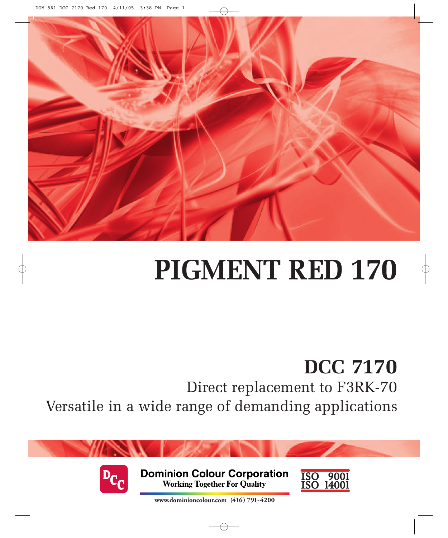

# **PIGMENT RED 170**

## **DCC 7170**

Direct replacement to F3RK-70 Versatile in a wide range of demanding applications



**Dominion Colour Corporation Working Together For Quality** 



**www.dominioncolour.com (416) 791-4200**